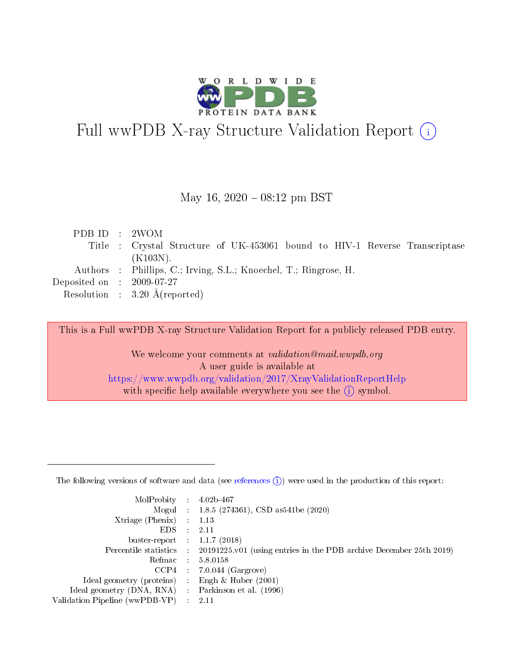

# Full wwPDB X-ray Structure Validation Report (i)

#### May 16,  $2020 - 08:12$  pm BST

| PDB ID : 2WOM                        |                                                                             |
|--------------------------------------|-----------------------------------------------------------------------------|
|                                      | Title : Crystal Structure of UK-453061 bound to HIV-1 Reverse Transcriptase |
|                                      | $(K103N)$ .                                                                 |
|                                      | Authors : Phillips, C.; Irving, S.L.; Knoechel, T.; Ringrose, H.            |
| Deposited on $\therefore$ 2009-07-27 |                                                                             |
|                                      | Resolution : $3.20 \text{ Å}$ (reported)                                    |

This is a Full wwPDB X-ray Structure Validation Report for a publicly released PDB entry.

We welcome your comments at validation@mail.wwpdb.org A user guide is available at <https://www.wwpdb.org/validation/2017/XrayValidationReportHelp> with specific help available everywhere you see the  $(i)$  symbol.

The following versions of software and data (see [references](https://www.wwpdb.org/validation/2017/XrayValidationReportHelp#references)  $(1)$ ) were used in the production of this report:

| MolProbity                     | $\mathcal{L}_{\rm{max}}$ | $4.02b - 467$                                                                |
|--------------------------------|--------------------------|------------------------------------------------------------------------------|
|                                |                          | Mogul : $1.8.5$ (274361), CSD as 541be (2020)                                |
| $X$ triage (Phenix) :          |                          | 1.13                                                                         |
| EDS.                           |                          | 2.11                                                                         |
| buster-report : $1.1.7$ (2018) |                          |                                                                              |
| Percentile statistics :        |                          | $20191225 \text{ v}01$ (using entries in the PDB archive December 25th 2019) |
| Refmac                         |                          | 5.8.0158                                                                     |
| $CCP4$ :                       |                          | $7.0.044$ (Gargrove)                                                         |
| Ideal geometry (proteins) :    |                          | Engh $\&$ Huber (2001)                                                       |
| Ideal geometry (DNA, RNA) :    |                          | Parkinson et al. (1996)                                                      |
| Validation Pipeline (wwPDB-VP) | $\mathcal{L}$            | -2.11                                                                        |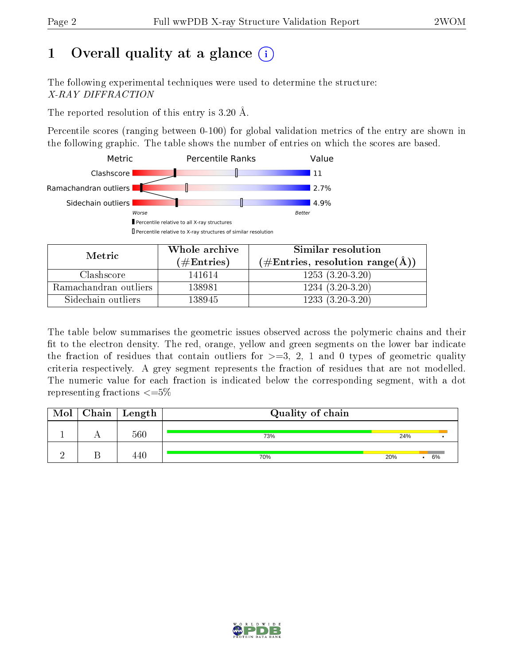# 1 [O](https://www.wwpdb.org/validation/2017/XrayValidationReportHelp#overall_quality)verall quality at a glance  $(i)$

The following experimental techniques were used to determine the structure: X-RAY DIFFRACTION

The reported resolution of this entry is 3.20 Å.

Percentile scores (ranging between 0-100) for global validation metrics of the entry are shown in the following graphic. The table shows the number of entries on which the scores are based.



| Metric                | Whole archive       | Similar resolution                                       |
|-----------------------|---------------------|----------------------------------------------------------|
|                       | (# $\rm{Entries}$ ) | $(\#\text{Entries}, \text{resolution range}(\text{\AA})$ |
| Clashscore            | 141614              | $1253(3.20-3.20)$                                        |
| Ramachandran outliers | 138981              | $1234(3.20-3.20)$                                        |
| Sidechain outliers    | 138945              | $1233(3.20-3.20)$                                        |

The table below summarises the geometric issues observed across the polymeric chains and their fit to the electron density. The red, orange, yellow and green segments on the lower bar indicate the fraction of residues that contain outliers for  $\geq=3$ , 2, 1 and 0 types of geometric quality criteria respectively. A grey segment represents the fraction of residues that are not modelled. The numeric value for each fraction is indicated below the corresponding segment, with a dot representing fractions  $\leq=5\%$ 

| Mol | $Chain$ Length | Quality of chain |     |    |
|-----|----------------|------------------|-----|----|
|     | 560            | 73%              | 24% |    |
|     | 440            | 70%              | 20% | 6% |

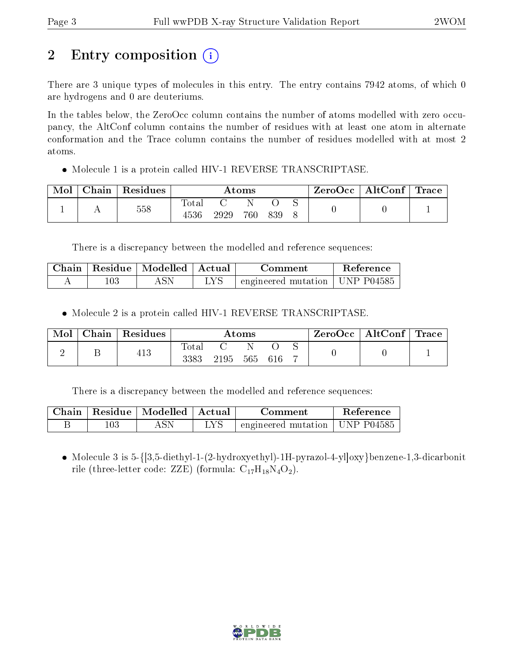# 2 Entry composition (i)

There are 3 unique types of molecules in this entry. The entry contains 7942 atoms, of which 0 are hydrogens and 0 are deuteriums.

In the tables below, the ZeroOcc column contains the number of atoms modelled with zero occupancy, the AltConf column contains the number of residues with at least one atom in alternate conformation and the Trace column contains the number of residues modelled with at most 2 atoms.

• Molecule 1 is a protein called HIV-1 REVERSE TRANSCRIPTASE.

| Mol | Chain | Residues | Atoms          |      |     |     | . ZeroOcc∣ | $\mid$ AltConf $\mid$ Trace |  |  |
|-----|-------|----------|----------------|------|-----|-----|------------|-----------------------------|--|--|
|     |       | 558      | $\text{Total}$ |      |     |     |            |                             |  |  |
|     |       |          | 4536           | 2929 | 760 | 839 |            |                             |  |  |

There is a discrepancy between the modelled and reference sequences:

| Chain- | Residue   Modelled | ∣ Actual | Comment                                | <b>Reference</b> |
|--------|--------------------|----------|----------------------------------------|------------------|
|        | ASN                |          | $\pm$ engineered mutation   UNP P04585 |                  |

Molecule 2 is a protein called HIV-1 REVERSE TRANSCRIPTASE.

| Mol | Chain | Residues | Atoms         |      |     |     | $\text{ZeroOcc} \mid \text{AltConf} \mid \text{Trace}$ |  |  |
|-----|-------|----------|---------------|------|-----|-----|--------------------------------------------------------|--|--|
|     |       | 413      | Total<br>3383 | 2195 | 565 | 616 |                                                        |  |  |

There is a discrepancy between the modelled and reference sequences:

|     | Chain   Residue   Modelled   Actual |      | Comment                                | Reference |
|-----|-------------------------------------|------|----------------------------------------|-----------|
| .03 |                                     | i ve | $\pm$ engineered mutation   UNP P04585 |           |

 Molecule 3 is 5-{[3,5-diethyl-1-(2-hydroxyethyl)-1H-pyrazol-4-yl]oxy}benzene-1,3-dicarbonit rile (three-letter code: ZZE) (formula:  $C_{17}H_{18}N_4O_2$ ).

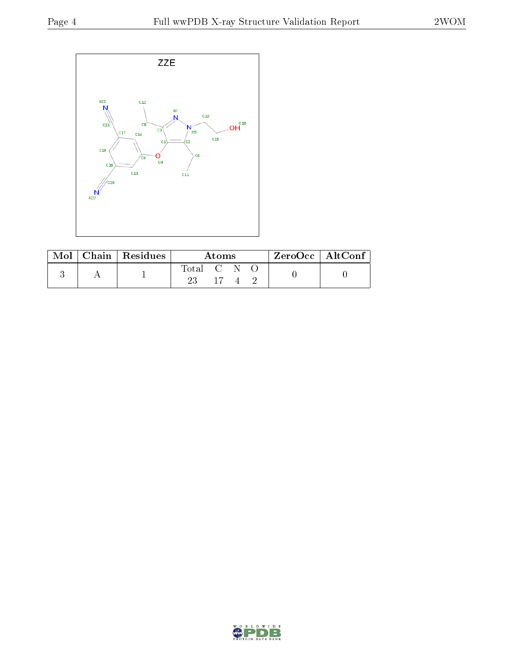

| Mol | $\vert$ Chain $\vert$ Residues | Atoms   |  |  |  | $ZeroOcc \mid AltConf$ |  |
|-----|--------------------------------|---------|--|--|--|------------------------|--|
|     |                                | Total C |  |  |  |                        |  |
|     |                                |         |  |  |  |                        |  |

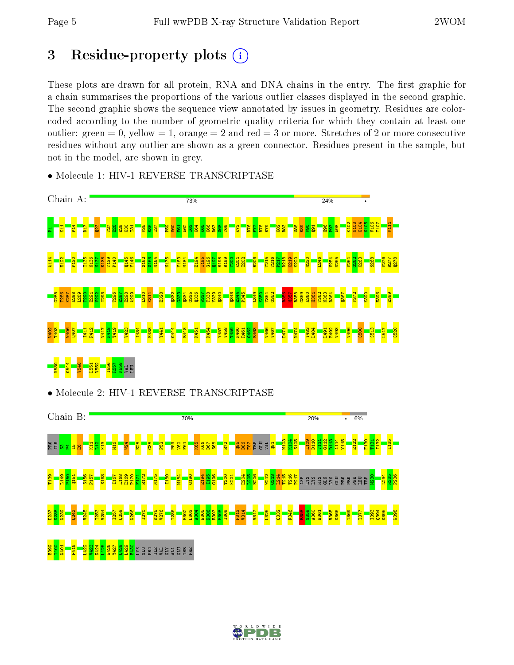# 3 Residue-property plots  $(i)$

These plots are drawn for all protein, RNA and DNA chains in the entry. The first graphic for a chain summarises the proportions of the various outlier classes displayed in the second graphic. The second graphic shows the sequence view annotated by issues in geometry. Residues are colorcoded according to the number of geometric quality criteria for which they contain at least one outlier: green  $= 0$ , yellow  $= 1$ , orange  $= 2$  and red  $= 3$  or more. Stretches of 2 or more consecutive residues without any outlier are shown as a green connector. Residues present in the sample, but not in the model, are shown in grey.



• Molecule 1: HIV-1 REVERSE TRANSCRIPTASE

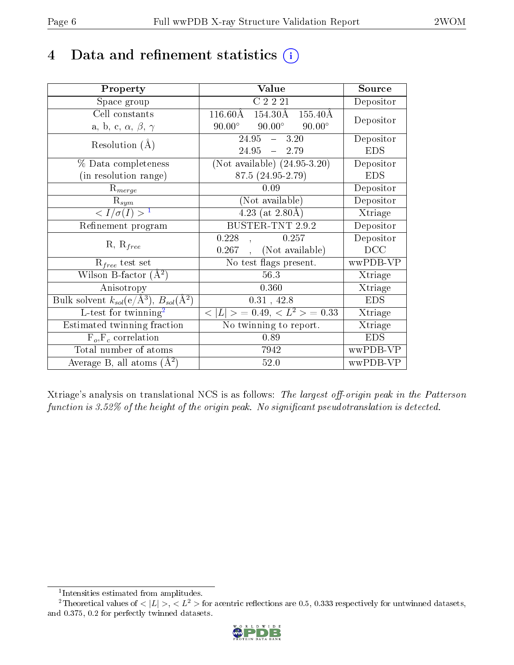# 4 Data and refinement statistics  $(i)$

| Property                                                         | Value                                               | Source                  |
|------------------------------------------------------------------|-----------------------------------------------------|-------------------------|
| Space group                                                      | C2221                                               | Depositor               |
| Cell constants                                                   | 154.30Å<br>$116.60\text{\AA}$<br>$155.40\text{\AA}$ | Depositor               |
| a, b, c, $\alpha$ , $\beta$ , $\gamma$                           | $90.00^{\circ}$<br>$90.00^\circ$<br>$90.00^\circ$   |                         |
| Resolution $(A)$                                                 | $24.95 - 3.20$                                      | Depositor               |
|                                                                  | $24.95 - 2.79$                                      | <b>EDS</b>              |
| % Data completeness                                              | (Not available) $(24.95-3.20)$                      | Depositor               |
| (in resolution range)                                            | 87.5 (24.95-2.79)                                   | <b>EDS</b>              |
| $R_{merge}$                                                      | 0.09                                                | Depositor               |
| $\mathrm{R}_{sym}$                                               | (Not available)                                     | Depositor               |
| $\overline{$ <sup>1</sup>                                        | $4.23$ (at 2.80Å)                                   | Xtriage                 |
| Refinement program                                               | <b>BUSTER-TNT 2.9.2</b>                             | $\overline{D}$ epositor |
|                                                                  | 0.257<br>0.228                                      | Depositor               |
| $R, R_{free}$                                                    | (Not available)<br>0.267                            | DCC                     |
| $R_{free}$ test set                                              | No test flags present.                              | wwPDB-VP                |
| Wilson B-factor $(A^2)$                                          | 56.3                                                | Xtriage                 |
| Anisotropy                                                       | 0.360                                               | Xtriage                 |
| Bulk solvent $k_{sol}(\text{e}/\text{A}^3), B_{sol}(\text{A}^2)$ | 0.31, 42.8                                          | <b>EDS</b>              |
| L-test for twinning <sup>2</sup>                                 | $< L >$ = 0.49, $< L2$ = 0.33                       | Xtriage                 |
| <b>Estimated twinning fraction</b>                               | No twinning to report.                              | <b>Xtriage</b>          |
| $F_o, F_c$ correlation                                           | 0.89                                                | <b>EDS</b>              |
| Total number of atoms                                            | 7942                                                | wwPDB-VP                |
| Average B, all atoms $(A^2)$                                     | 52.0                                                | wwPDB-VP                |

Xtriage's analysis on translational NCS is as follows: The largest off-origin peak in the Patterson function is  $3.52\%$  of the height of the origin peak. No significant pseudotranslation is detected.

<sup>&</sup>lt;sup>2</sup>Theoretical values of  $\langle |L| \rangle$ ,  $\langle L^2 \rangle$  for acentric reflections are 0.5, 0.333 respectively for untwinned datasets, and 0.375, 0.2 for perfectly twinned datasets.



<span id="page-5-1"></span><span id="page-5-0"></span><sup>1</sup> Intensities estimated from amplitudes.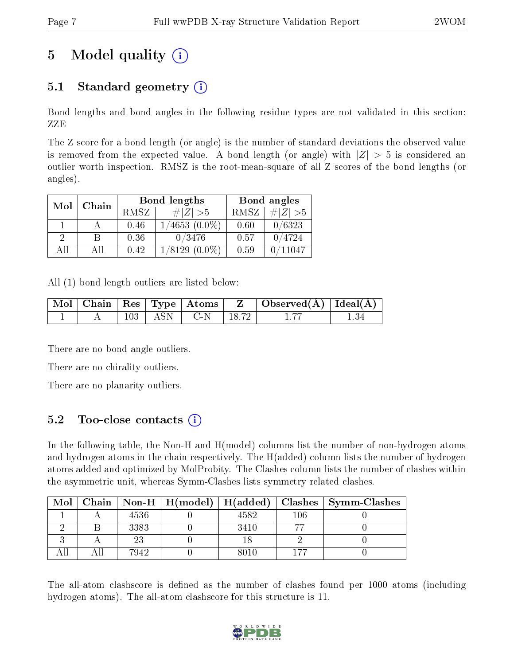# 5 Model quality  $(i)$

# 5.1 Standard geometry  $(i)$

Bond lengths and bond angles in the following residue types are not validated in this section: ZZE

The Z score for a bond length (or angle) is the number of standard deviations the observed value is removed from the expected value. A bond length (or angle) with  $|Z| > 5$  is considered an outlier worth inspection. RMSZ is the root-mean-square of all Z scores of the bond lengths (or angles).

| Mol | Chain |      | Bond lengths        | Bond angles |           |  |
|-----|-------|------|---------------------|-------------|-----------|--|
|     |       | RMSZ | # Z  > 5            | RMSZ        | # $ Z >5$ |  |
|     |       | 0.46 | $1/4653$ $(0.0\%)$  | 0.60        | 0/6323    |  |
| 2   | В     | 0.36 | 0/3476              | 0.57        | 0/4724    |  |
| AII | Αll   | 0.42 | 1/8129<br>$(0.0\%)$ | 0.59        | 0/11047   |  |

All (1) bond length outliers are listed below:

|  |             | Mol   Chain   Res   Type   Atoms | $\mathbb{Z}$ | $\mid$ Observed( $\AA$ ) $\mid$ Ideal( $\AA$ ) $\mid$ |  |
|--|-------------|----------------------------------|--------------|-------------------------------------------------------|--|
|  | $103$   ASN | $\perp$ C-N                      | 18.72        |                                                       |  |

There are no bond angle outliers.

There are no chirality outliers.

There are no planarity outliers.

### 5.2 Too-close contacts  $(i)$

In the following table, the Non-H and H(model) columns list the number of non-hydrogen atoms and hydrogen atoms in the chain respectively. The H(added) column lists the number of hydrogen atoms added and optimized by MolProbity. The Clashes column lists the number of clashes within the asymmetric unit, whereas Symm-Clashes lists symmetry related clashes.

| Mol |      |      |     | Chain   Non-H   H(model)   H(added)   Clashes   Symm-Clashes |
|-----|------|------|-----|--------------------------------------------------------------|
|     | 4536 | 4582 | 106 |                                                              |
|     | 3383 | 3410 |     |                                                              |
|     |      |      |     |                                                              |
|     | 7942 | 8010 | 177 |                                                              |

The all-atom clashscore is defined as the number of clashes found per 1000 atoms (including hydrogen atoms). The all-atom clashscore for this structure is 11.

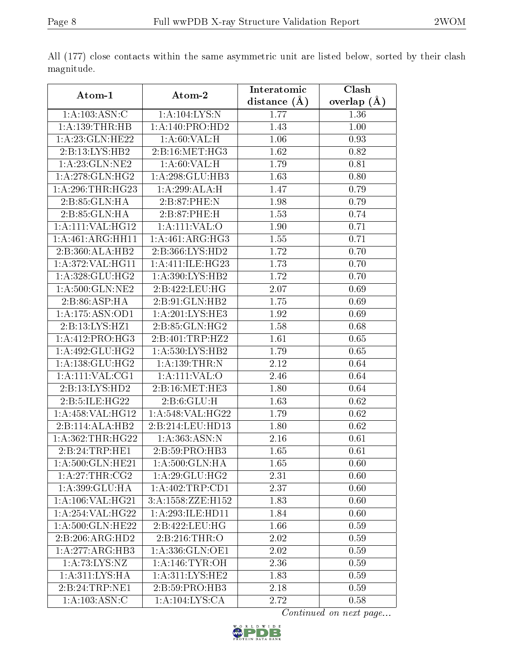|                             |                                    | Interatomic    | Clash             |
|-----------------------------|------------------------------------|----------------|-------------------|
| Atom-1                      | Atom-2                             | distance $(A)$ | overlap $(\AA)$   |
| 1: A: 103: ASN: C           | 1:A:104:LYS:N                      | 1.77           | 1.36              |
| 1:A:139:THR:HB              | 1:A:140:PRO:HD2                    | 1.43           | $1.00\,$          |
| 1:A:23:GLN:HE22             | 1: A:60: VAL:H                     | 1.06           | 0.93              |
| 2:B:13:LYS:HB2              | 2: B: 16: MET:HG3                  | 1.62           | 0.82              |
| 1:A:23:GLN:NE2              | $1:A:60:\overline{\mathrm{VAL:H}}$ | 1.79           | 0.81              |
| 1: A:278: GLN: HG2          | 1:A:298:GLU:HB3                    | 1.63           | 0.80              |
| 1:A:296:THR:HG23            | 1:A:299:ALA:H                      | 1.47           | 0.79              |
| 2:B:85:GLN:HA               | 2: B:87:PHE:N                      | 1.98           | 0.79              |
| 2:B:85:GLN:HA               | 2:B:87:PHE:H                       | 1.53           | 0.74              |
| 1:A:111:VAL:HG12            | 1:A:111:VAL:O                      | 1.90           | 0.71              |
| 1:A:461:ARG:HH11            | 1: A:461: ARG:HG3                  | 1.55           | 0.71              |
| 2:B:360:ALA:HB2             | 2:B:366:LYS:HD2                    | 1.72           | 0.70              |
| 1:A:372:VAL:HG11            | 1: A:411: ILE: HG23                | 1.73           | 0.70              |
| 1:A:328:GLU:HG2             | 1: A:390: LYS: HB2                 | 1.72           | $\overline{0.70}$ |
| 1: A:500: GLN: NE2          | 2:B:422:LEU:HG                     | 2.07           | 0.69              |
| 2:B:86:ASP:HA               | 2: B:91: GLN: HB2                  | 1.75           | 0.69              |
| 1:A:175:ASN:OD1             | 1: A:201:LYS:HE3                   | 1.92           | 0.69              |
| 2:B:13:LYS:HZ1              | 2:B:85:GLN:HG2                     | 1.58           | 0.68              |
| 1:A:412:PRO:HG3             | 2:B:401:TRP:HZ2                    | 1.61           | 0.65              |
| 1: A:492: GLU:HG2           | 1: A:530: LYS: HB2                 | 1.79           | 0.65              |
| 1: A: 138: GLU: HG2         | 1: A: 139: THR:N                   | 2.12           | 0.64              |
| 1:A:111:VAL:CG1             | 1:A:111:VAL:O                      | 2.46           | 0.64              |
| $2:B:13:L\overline{YS:HD2}$ | 2:B:16:MET:HE3                     | 1.80           | 0.64              |
| 2:B:5:ILE:HG22              | 2: B:6: GLU: H                     | 1.63           | 0.62              |
| 1:A:458:VAL:HG12            | 1:A:548:VAL:HG22                   | 1.79           | 0.62              |
| 2:B:114:ALA:HB2             | 2:B:214:LEU:HD13                   | 1.80           | 0.62              |
| 1: A: 362: THR: HG22        | 1: A: 363: ASN:N                   | 2.16           | 0.61              |
| 2: B: 24: TRP: HE1          | 2:B:59:PRO:HB3                     | 1.65           | 0.61              |
| 1: A:500: GLN: HE21         | 1:A:500:GLN:HA                     | 1.65           | 0.60              |
| 1: A:27:THR:CG2             | 1: A:29: GLU: HG2                  | 2.31           | 0.60              |
| 1:A:399:GLU:HA              | 1:A:402:TRP:CD1                    | 2.37           | 0.60              |
| 1: A: 106: VAL: HG21        | 3:A:1558:ZZE:H152                  | 1.83           | 0.60              |
| 1: A:254:VAL:HG22           | 1: A:293: ILE: HD11                | 1.84           | 0.60              |
| 1: A:500: GLN: HE22         | 2:B:422:LEU:HG                     | 1.66           | 0.59              |
| 2:B:206:ARG:HD2             | 2:B:216:THR:O                      | 2.02           | 0.59              |
| 1:A:277:ARG:HB3             | 1:A:336:GLN:OE1                    | 2.02           | 0.59              |
| 1:A:73:LYS:NZ               | 1: A:146:TYR:OH                    | 2.36           | 0.59              |
| 1:A:311:LYS:HA              | 1: A:311:LYS:HE2                   | 1.83           | 0.59              |
| 2:B:24:TRP:NE1              | 2: B:59: PRO:HB3                   | 2.18           | 0.59              |
| 1: A: 103: ASN: C           | 1:A:104:LYS:CA                     | 2.72           | 0.58              |

All (177) close contacts within the same asymmetric unit are listed below, sorted by their clash magnitude.

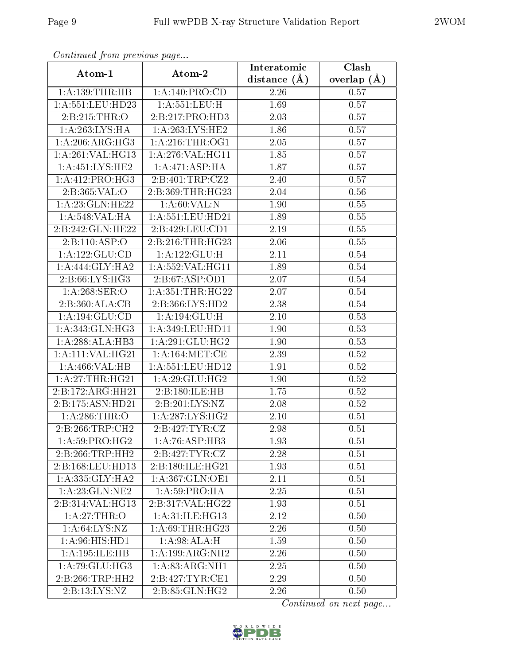|                              | Commuca from previous page    |                               | Clash         |
|------------------------------|-------------------------------|-------------------------------|---------------|
| Atom-1                       | Atom-2                        | Interatomic<br>distance $(A)$ | overlap $(A)$ |
| 1:A:139:THR:HB               | 1: A:140: PRO:CD              | 2.26                          | 0.57          |
| 1:A:551:LEU:HD23             | 1: A:551:LEU:H                | 1.69                          | 0.57          |
| 2:B:215:THR:O                | 2:B:217:PRO:HD3               | 2.03                          | 0.57          |
| 1:A:263:LYS:HA               | 1: A:263:LYS:HE2              | 1.86                          | 0.57          |
| 1: A:206:ARG:HG3             | 1: A:216:THR:OG1              | 2.05                          | 0.57          |
| 1:A:261:VAL:HG13             | 1:A:276:VAL:HG11              | 1.85                          | 0.57          |
| 1: A: 451: LYS: HE2          | 1:A:471:ASP:HA                | 1.87                          | 0.57          |
| 1: A:412: PRO:HG3            | 2:B:401:TRP:CZ2               | 2.40                          | 0.57          |
| 2:B:365:VAL:O                | 2:B:369:THR:HG23              | 2.04                          | 0.56          |
| 1: A:23: GLN: HE22           | 1: A:60: VAL:N                | 1.90                          | 0.55          |
| 1:A:548:VAL:HA               | 1: A: 551: LEU: HD21          | 1.89                          | 0.55          |
| 2:B:242:GLN:HE22             | 2:B:429:LEU:CD1               | 2.19                          | 0.55          |
| 2:B:110:ASP:O                | 2:B:216:THR:HG23              | 2.06                          | 0.55          |
| 1: A: 122: GLU: CD           | 1:A:122:GLU:H                 | 2.11                          | 0.54          |
| 1: A:444: GLY:HA2            | 1:A:552:VAL:HG11              | 1.89                          | 0.54          |
| 2:B:66:LYS:HG3               | 2:B:67:ASP:OD1                | 2.07                          | 0.54          |
| 1:A:268:SER:O                | 1: A: 351: THR: HG22          | 2.07                          | $0.54\,$      |
| 2:B:360:ALA:CB               | 2:B:366:LYS:HD2               | 2.38                          | 0.54          |
| 1:A:194:GLU:CD               | 1:A:194:GLU:H                 | $2.10\,$                      | 0.53          |
| $1:A:343:GLN:H\overline{G3}$ | 1:A:349:LEU:HD11              | 1.90                          | 0.53          |
| 1:A:288:ALA:HB3              | 1:A:291:GLU:HG2               | 1.90                          | 0.53          |
| 1:A:111:VAL:HG21             | 1: A: 164: MET: CE            | 2.39                          | 0.52          |
| 1:A:466:VAL:HB               | 1:A:551:LEU:HD12              | 1.91                          | 0.52          |
| 1: A:27:THR:HG21             | 1: A:29: GLU: HG2             | 1.90                          | 0.52          |
| 2:B:172:ARG:HH21             | 2:B:180:ILE:HB                | 1.75                          | 0.52          |
| 2:B:175:ASN:HD21             | 2:B:201:LYS:NZ                | 2.08                          | 0.52          |
| 1: A:286:THR:O               | $1:A:287:LYS:H\overline{G2}$  | 2.10                          | 0.51          |
| 2:B:266:TRP:CH2              | 2:B:427:TYR:CZ                | 2.98                          | 0.51          |
| 1: A:59: PRO:HG2             | 1: A:76: ASP:HB3              | 1.93                          | 0.51          |
| 2:B:266:TRP:HH2              | 2:B:427:TYR:CZ                | 2.28                          | 0.51          |
| 2:B:168:LEU:HD13             | 2:B:180:ILE:HG21              | 1.93                          | 0.51          |
| 1: A: 335: GLY: HA2          | 1: A:367: GLN:OE1             | 2.11                          | 0.51          |
| 1:A:23:GLN:NE2               | 1: A:59: PRO:HA               | 2.25                          | 0.51          |
| 2:B:314:VAL:HG13             | 2:B:317:VAL:HG22              | 1.93                          | 0.51          |
| 1:A:27:THR:O                 | 1: A:31: ILE: HG13            | 2.12                          | 0.50          |
| 1: A:64: LYS:NZ              | 1: A:69:THR:HG23              | 2.26                          | 0.50          |
| 1: A:96: HIS: HD1            | 1: A:98:ALA:H                 | 1.59                          | 0.50          |
| 1:A:195:ILE:HB               | 1:A:199:ARG:NH2               | 2.26                          | 0.50          |
| 1:A:79:GLU:HG3               | 1: A:83:ARG:NH1               | 2.25                          | 0.50          |
| 2:B:266:TRP:HH2              | 2:B:427:TYR:CE1               | 2.29                          | 0.50          |
| 2: B: 13: LYS: NZ            | $2: B:85: \overline{GLN:HG2}$ | 2.26                          | 0.50          |

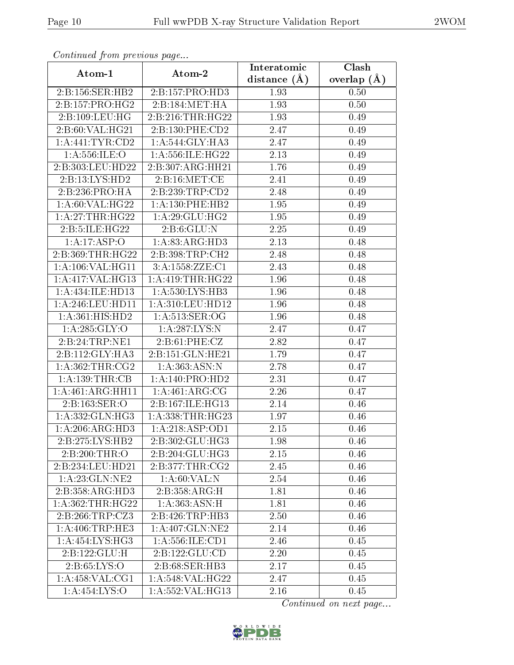| Commaca jibin previous page              |                              |                               | Clash         |
|------------------------------------------|------------------------------|-------------------------------|---------------|
| Atom-1                                   | Atom-2                       | Interatomic<br>distance $(A)$ | overlap $(A)$ |
| 2:B:156:SER:HB2                          | 2:B:157:PRO:HD3              | 1.93                          | 0.50          |
| 2:B:157:PRO:HG2                          | 2:B:184:MET:HA               | 1.93                          | 0.50          |
| 2: B: 109: LEU: HG                       | 2:B:216:THR:HG22             | 1.93                          | 0.49          |
| 2:B:60:VAL:HG21                          | 2:B:130:PHE:CD2              | 2.47                          | 0.49          |
| 1: A:441: TYR: CD2                       | 1: A:544: GLY:HA3            | 2.47                          | 0.49          |
| 1: A: 556: ILE: O                        | 1:A:556:ILE:HG22             | 2.13                          | 0.49          |
| 2:B:303:LEU:HD22                         | 2:B:307:ARG:HH21             | 1.76                          | 0.49          |
| 2:B:13:LYS:HD2                           | 2:B:16:MET:CE                | 2.41                          | 0.49          |
| 2:B:236:PRO:HA                           | 2:B:239:TRP:CD2              | 2.48                          | 0.49          |
| 1:A:60:VAL:HG22                          | 1:A:130:PHE:HB2              | 1.95                          | 0.49          |
| 1:A:27:THR:HG22                          | 1: A:29: GLU: HG2            | 1.95                          | 0.49          |
| 2:B:5:ILE:HG22                           | 2: B:6: GLU:N                | 2.25                          | 0.49          |
| 1:A:17:ASP:O                             | 1:A:83:ARG:HD3               | 2.13                          | 0.48          |
| 2:B:369:THR:HG22                         | 2:B:398:TRP:CH2              | 2.48                          | 0.48          |
| $1:\overline{A}:106:\overline{VAL}:HG11$ | 3:A:1558:ZZE:C1              | 2.43                          | 0.48          |
| 1:A:417:VAL:HG13                         | 1:A:419:THR:HG22             | 1.96                          | 0.48          |
| 1:A:434:ILE:HD13                         | 1:A:530:LYS:HB3              | 1.96                          | 0.48          |
| 1: A:246:LEU:HD11                        | 1: A:310: LEU: HD12          | 1.96                          | 0.48          |
| 1:A:361:HIS:HD2                          | 1: A:513: SER:OG             | 1.96                          | 0.48          |
| $1:$ A:285:GLY:O                         | 1: A:287:LYS:N               | 2.47                          | 0.47          |
| 2:B:24:TRP:NE1                           | 2: B:61: PHE: CZ             | 2.82                          | 0.47          |
| 2:B:112:GLY:HA3                          | 2:B:151:GLN:HE21             | 1.79                          | 0.47          |
| 1: A: 362: THR: CG2                      | 1: A:363:ASN:N               | 2.78                          | 0.47          |
| 1: A: 139: THR: CB                       | 1: A:140: PRO:HD2            | $\overline{2.31}$             | 0.47          |
| 1:A:461:ARG:HH11                         | 1:A:461:ARG:CG               | 2.26                          | 0.47          |
| 2:B:163:SER:O                            | 2:B:167:ILE:HG13             | 2.14                          | 0.46          |
| 1: A: 332: GLN: HG3                      | 1: A: 338: THR: HG23         | 1.97                          | 0.46          |
| $1:A:206:AR\overline{G:HD3}$             | 1: A:218: ASP:OD1            | 2.15                          | 0.46          |
| 2:B:275:LYS:HB2                          | $2:B:302:GL\overline{U:HG3}$ | 1.98                          | 0.46          |
| 2:B:200:THR:O                            | 2:B:204:GLU:HG3              | 2.15                          | 0.46          |
| 2:B:234:LEU:HD21                         | 2:B:377:THR:CG2              | 2.45                          | 0.46          |
| 1: A:23: GLN:NE2                         | 1:A:60:VAL:N                 | 2.54                          | 0.46          |
| 2:B:358:ARG:HD3                          | 2:B:358:ARG:H                | 1.81                          | 0.46          |
| 1:A:362:THR:HG22                         | 1: A: 363: ASN.H             | 1.81                          | 0.46          |
| 2:B:266:TRP:CZ3                          | 2: B:426: TRP:HB3            | 2.50                          | 0.46          |
| 1: A:406:TRP:HE3                         | 1:A:407:GLN:NE2              | 2.14                          | 0.46          |
| $1: A:454: LYS: H\overline{G3}$          | 1: A: 556: ILE: CD1          | 2.46                          | 0.45          |
| 2:B:122:GLU:H                            | 2: B: 122: GLU: CD           | 2.20                          | 0.45          |
| 2: B:65: LYS:O                           | 2:B:68:SER:HB3               | 2.17                          | 0.45          |
| 1:A:458:VAL:CG1                          | 1:A:548:VAL:HG22             | 2.47                          | 0.45          |
| 1:A:454:LYS:O                            | 1:A:552:VAL:HG13             | 2.16                          | 0.45          |

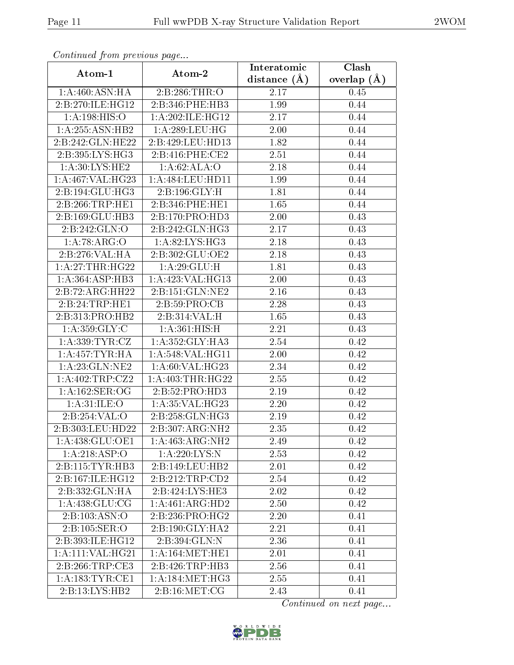| Continuea from previous page         |                    | Interatomic       | Clash         |
|--------------------------------------|--------------------|-------------------|---------------|
| Atom-1                               | Atom-2             | distance $(A)$    | overlap $(A)$ |
| 1: A:460:ASN:HA                      | 2:B:286:THR:O      | 2.17              | 0.45          |
| 2:B:270:ILE:HG12                     | 2:B:346:PHE:HB3    | 1.99              | 0.44          |
| 1: A: 198: HIS: O                    | 1:A:202:ILE:HG12   | 2.17              | 0.44          |
| 1: A: 255: ASN: HB2                  | 1:A:289:LEU:HG     | 2.00              | 0.44          |
| 2:B:242:GLN:HE22                     | 2:B:429:LEU:HD13   | 1.82              | 0.44          |
| 2:B:395:LYS:HG3                      | 2:B:416:PHE:CE2    | 2.51              | 0.44          |
| 1: A:30: LYS: HE2                    | 1: A:62: ALA:O     | 2.18              | 0.44          |
| 1: A:467: VAL:HG23                   | 1:A:484:LEU:HDI1   | 1.99              | 0.44          |
| 2:B:194:GLU:HG3                      | 2:B:196:GLY:H      | 1.81              | 0.44          |
| 2:B:266:TRP:HE1                      | 2:B:346:PHE:HE1    | 1.65              | 0.44          |
| 2:B:169:GLU:HB3                      | 2:B:170:PRO:HD3    | 2.00              | 0.43          |
| 2:B:242:GLN:O                        | 2:B:242:GLN:HG3    | 2.17              | 0.43          |
| 1:A:78:ARG:O                         | 1: A:82:LYS:HG3    | 2.18              | 0.43          |
| 2:B:276:VAL:HA                       | 2:B:302:GLU:OE2    | 2.18              | 0.43          |
| 1:A:27:THR:HG22                      | 1:A:29:GLU:H       | 1.81              | 0.43          |
| 1: A: 364: ASP: HB3                  | 1:A:423:VAL:HG13   | 2.00              | 0.43          |
| 2:B:72:ARG:HH22                      | 2:B:151:GLN:NE2    | 2.16              | 0.43          |
| 2:B:24:TRP:HE1                       | 2:B:59:PRO:CB      | 2.28              | 0.43          |
| $2:B:313: \overline{\text{PRO:HB2}}$ | 2:B:314:VAL:H      | 1.65              | 0.43          |
| 1: A: 359: GLY: C                    | 1: A:361: HIS:H    | 2.21              | 0.43          |
| 1: A: 339: TYR: CZ                   | 1:A:352:GLY:HA3    | 2.54              | 0.42          |
| 1: A: 457: TYR: HA                   | 1: A:548: VAL:HGI1 | 2.00              | 0.42          |
| 1:A:23:GLN:NE2                       | 1: A:60: VAL:HG23  | 2.34              | 0.42          |
| 1:A:402:TRP:CZ2                      | 1: A:403:THR:HG22  | 2.55              | 0.42          |
| 1: A: 162: SER: OG                   | 2:B:52:PRO:HD3     | 2.19              | 0.42          |
| 1: A:31: ILE: O                      | 1: A:35: VAL:HG23  | $\overline{2}.20$ | 0.42          |
| 2:B:254:VAL:O                        | 2:B:258:GLN:HG3    | 2.19              | 0.42          |
| 2:B:303:LEU:HD22                     | 2:B:307:ARG:NH2    | 2.35              | 0.42          |
| 1: A: 438: GLU: OE1                  | 1: A:463:ARG:NH2   | 2.49              | 0.42          |
| 1:A:218:ASP:O                        | 1:A:220:LYS:N      | 2.53              | 0.42          |
| 2:B:115:TYR:HB3                      | 2:B:149:LEU:HB2    | 2.01              | 0.42          |
| 2:B:167:ILE:HG12                     | 2:B:212:TRP:CD2    | 2.54              | 0.42          |
| 2:B:332:GLN:HA                       | 2:B:424:LYS:HE3    | 2.02              | 0.42          |
| 1: A:438: GLU:CG                     | 1:A:461:ARG:HD2    | 2.50              | 0.42          |
| 2: B: 103: ASN: O                    | 2:B:236:PRO:HG2    | 2.20              | 0.41          |
| 2:B:105:SER:O                        | 2:B:190:GLY:HA2    | 2.21              | 0.41          |
| 2:B:393:ILE:HG12                     | 2:B:394:GLN:N      | 2.36              | 0.41          |
| $1:A:111:\overline{\text{VAL}:HG21}$ | 1: A:164:MET:HE1   | 2.01              | 0.41          |
| 2:B:266:TRP:CE3                      | 2:B:426:TRP:HB3    | 2.56              | 0.41          |
| 1: A: 183: TYR:CE1                   | 1: A:184:MET:HG3   | 2.55              | 0.41          |
| 2:B:13:LYS:HB2                       | 2: B:16: MET: CG   | 2.43              | 0.41          |

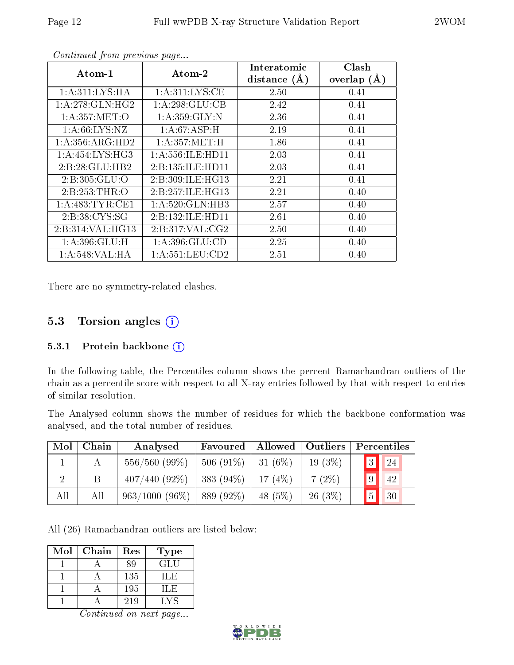| $\rm{Atom\text{-}1}$ | $\boldsymbol{\mathrm{Atom}\text{-}2}$ | Interatomic    | Clash         |
|----------------------|---------------------------------------|----------------|---------------|
|                      |                                       | distance $(A)$ | overlap $(A)$ |
| 1: A:311:LYS:HA      | 1: A:311:LYS:CE                       | 2.50           | 0.41          |
| 1: A:278: GLN: HG2   | 1:A:298:GLU:CB                        | 2.42           | 0.41          |
| 1: A:357: MET:O      | 1: A: 359: GLY: N                     | 2.36           | 0.41          |
| 1: A:66: LYS:NZ      | 1: A:67:ASP:H                         | 2.19           | 0.41          |
| 1: A: 356: ARG: HD2  | 1: A: 357: MET:H                      | 1.86           | 0.41          |
| 1: A:454: LYS: HG3   | 1: A: 556: ILE: HD11                  | 2.03           | 0.41          |
| 2:B:28:GLU:HB2       | 2:B:135:ILE:HD11                      | 2.03           | 0.41          |
| 2:B:305:GLU:O        | 2:B:309:ILE:HG13                      | 2.21           | 0.41          |
| 2:B:253:THR:O        | 2:B:257:ILE:HG13                      | 2.21           | 0.40          |
| 1:A:483:TYR:CE1      | 1: A:520: GLN:HB3                     | 2.57           | 0.40          |
| 2:B:38:CYS:SG        | 2:B:132:ILE:HD11                      | 2.61           | 0.40          |
| 2:B:314:VAL:HG13     | 2: B:317: VAL: C <sub>G2</sub>        | 2.50           | 0.40          |
| 1: A:396: GLU: H     | 1:A:396:GLU:CD                        | 2.25           | 0.40          |
| 1:A:548:VAL:HA       | 1: A: 551: LEU: CD2                   | 2.51           | 0.40          |

There are no symmetry-related clashes.

### 5.3 Torsion angles (i)

#### 5.3.1 Protein backbone  $(i)$

In the following table, the Percentiles column shows the percent Ramachandran outliers of the chain as a percentile score with respect to all X-ray entries followed by that with respect to entries of similar resolution.

The Analysed column shows the number of residues for which the backbone conformation was analysed, and the total number of residues.

| Mol | Chain | Analysed         | Favoured   Allowed |           | <b>Outliers</b> | Percentiles           |
|-----|-------|------------------|--------------------|-----------|-----------------|-----------------------|
|     |       | $556/560(99\%)$  | $506(91\%)$        | $31(6\%)$ | $19(3\%)$       | 3<br> 24              |
|     | Β     | $407/440(92\%)$  | $383(94\%)$        | $17(4\%)$ | $7(2\%)$        | 9<br>42               |
| All | All   | $963/1000(96\%)$ | 889 (92\%)         | 48 $(5%)$ | $26(3\%)$       | 5 <sup>1</sup><br> 30 |

All (26) Ramachandran outliers are listed below:

| Mol | Chain | Res | Type |
|-----|-------|-----|------|
|     |       | 80  | GLU  |
|     |       | 135 | TLE. |
|     |       | 195 | ШE   |
|     |       | 219 | LVS  |

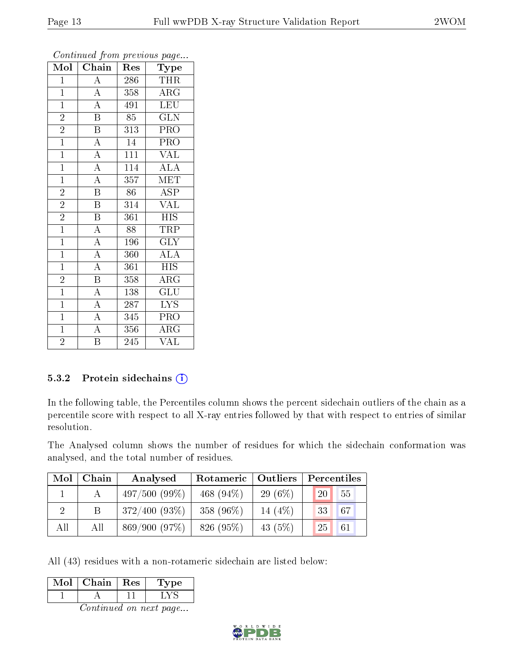| Mol            | . <i>.</i> .<br>Chain   | Res | $\mathbf{r}$ $\mathbf{v}$ $\mathbf{r}$<br>Type |
|----------------|-------------------------|-----|------------------------------------------------|
| $\mathbf{1}$   | $\overline{\rm A}$      | 286 | <b>THR</b>                                     |
| $\mathbf{1}$   | $\overline{A}$          | 358 | $\rm\overline{A}RG$                            |
| $\mathbf{1}$   | $\overline{A}$          | 491 | <b>LEU</b>                                     |
| $\overline{2}$ | $\overline{\text{B}}$   | 85  | <b>GLN</b>                                     |
| $\overline{2}$ | $\overline{\mathrm{B}}$ | 313 | PRO                                            |
| $\mathbf{1}$   | $\overline{\rm A}$      | 14  | PRO                                            |
| $\mathbf{1}$   | $\overline{A}$          | 111 | <b>VAL</b>                                     |
| $\overline{1}$ | $\overline{\rm A}$      | 114 | $\overline{\rm ALA}$                           |
| $\overline{1}$ | $\overline{A}$          | 357 | <b>MET</b>                                     |
| $\overline{2}$ | $\overline{\mathrm{B}}$ | 86  | <b>ASP</b>                                     |
| $\overline{2}$ | $\overline{\mathrm{B}}$ | 314 | <b>VAL</b>                                     |
| $\overline{2}$ | $\overline{\mathbf{B}}$ | 361 | $\overline{HIS}$                               |
| $\overline{1}$ | $\overline{\rm A}$      | 88  | TRP                                            |
| $\mathbf{1}$   | $\overline{A}$          | 196 | GLY                                            |
| $\mathbf{1}$   | $\overline{A}$          | 360 | $\overline{\rm ALA}$                           |
| $\mathbf{1}$   | $\overline{A}$          | 361 | <b>HIS</b>                                     |
| $\overline{2}$ | $\overline{\mathrm{B}}$ | 358 | $\rm{ARG}$                                     |
| $\mathbf{1}$   | $\overline{\rm A}$      | 138 | GLU                                            |
| $\mathbf{1}$   | $\overline{A}$          | 287 | $\overline{\text{LYS}}$                        |
| $\overline{1}$ | $\overline{A}$          | 345 | PRO                                            |
| $\overline{1}$ | $\overline{\rm A}$      | 356 | $\rm{ARG}$                                     |
| $\overline{2}$ | $\overline{\mathrm{B}}$ | 245 | $\overline{\text{VAL}}$                        |

#### 5.3.2 Protein sidechains  $(i)$

In the following table, the Percentiles column shows the percent sidechain outliers of the chain as a percentile score with respect to all X-ray entries followed by that with respect to entries of similar resolution.

The Analysed column shows the number of residues for which the sidechain conformation was analysed, and the total number of residues.

| Mol | Chain | Analysed        | Rotameric    | $\mid$ Outliers | Percentiles            |
|-----|-------|-----------------|--------------|-----------------|------------------------|
|     |       | $497/500(99\%)$ | 468 $(94\%)$ | $29(6\%)$       | 55<br>20               |
|     |       | $372/400(93\%)$ | 358 (96%)    | 14 $(4%)$       | 467'<br>33             |
| All | All   | 869/900(97%)    | 826 (95%)    | 43 $(5%)$       | 25 <sub>1</sub><br> 61 |

All (43) residues with a non-rotameric sidechain are listed below:

| Chain | Res | pe. |
|-------|-----|-----|
|       |     |     |

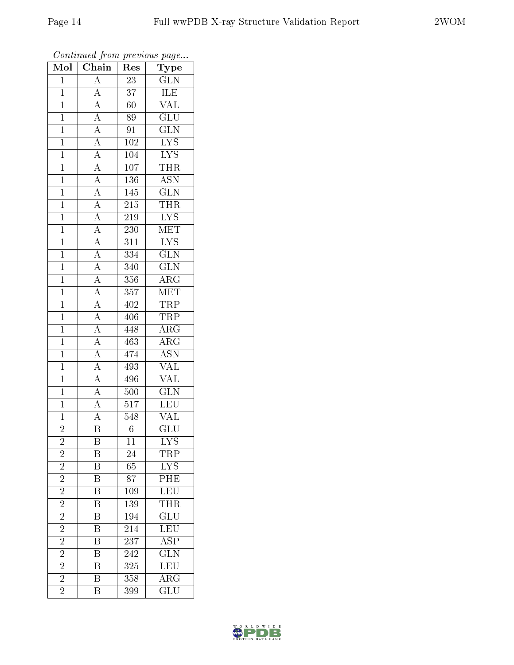| Mol            | $\overline{\text{C}}$ hain                                                 | Res              | Type                    |
|----------------|----------------------------------------------------------------------------|------------------|-------------------------|
| $\mathbf{1}$   | $\overline{A}$                                                             | 23               | $\overline{\text{GLN}}$ |
| $\overline{1}$ | $\overline{A}$                                                             | 37               | ILE                     |
| $\mathbf{1}$   | $\overline{A}$                                                             | $60\,$           | $\overline{\text{VAL}}$ |
| $\mathbf{1}$   | $\overline{A}$                                                             | 89               | $\overline{\text{GLU}}$ |
| $\overline{1}$ | $\frac{\overline{A}}{A}$                                                   | 91               | $\overline{\text{GLN}}$ |
| $\mathbf{1}$   |                                                                            | 102              | $\overline{\text{LYS}}$ |
| $\overline{1}$ | $\frac{\overline{A}}{A}$                                                   | 104              | $\overline{\text{LYS}}$ |
| $\mathbf{1}$   |                                                                            | $\overline{107}$ | <b>THR</b>              |
| $\mathbf{1}$   |                                                                            | 136              | $\overline{ASN}$        |
| $\mathbf{1}$   | $\frac{\overline{A}}{\overline{A}}$<br>$\frac{\overline{A}}{\overline{A}}$ | 145              | $\overline{\text{GLN}}$ |
| $\mathbf{1}$   |                                                                            | 215              | <b>THR</b>              |
| $\overline{1}$ |                                                                            | $\overline{219}$ | $\overline{\text{LYS}}$ |
| $\overline{1}$ | $\overline{A}$                                                             | 230              | MET                     |
| $\mathbf{1}$   |                                                                            | 311              | $\overline{\text{LYS}}$ |
| $\overline{1}$ | $\frac{\overline{A}}{A}$                                                   | 334              | $\overline{\text{GLN}}$ |
| $\mathbf{1}$   | $\overline{A}$                                                             | 340              | $\overline{{\rm GLN}}$  |
| $\overline{1}$ | $\overline{A}$                                                             | 356              | $\overline{\rm ARG}$    |
| $\mathbf{1}$   | $\frac{\overline{A}}{\overline{A}}$                                        | 357              | <b>MET</b>              |
| $\mathbf 1$    |                                                                            | 402              | $\overline{\text{TRP}}$ |
| $\mathbf{1}$   | $\overline{A}$                                                             | 406              | <b>TRP</b>              |
| $\overline{1}$ | $\frac{1}{\mathbf{A}}$                                                     | 448              | $\rm{ARG}$              |
| $\overline{1}$ | $\overline{A}$                                                             | 463              | $\overline{\rm{ARG}}$   |
| $\mathbf{1}$   | $\overline{A}$                                                             | 474              | <b>ASN</b>              |
| $\mathbf{1}$   | $\frac{\overline{A}}{\overline{A}}$                                        | 493              | $\overline{\text{VAL}}$ |
| $\mathbf{1}$   |                                                                            | 496              | <b>VAL</b>              |
| $\overline{1}$ | $\overline{A}$                                                             | 500              | $\overline{\text{GLN}}$ |
| $\overline{1}$ | $\overline{A}$                                                             | $\overline{517}$ | $\overline{\text{LEU}}$ |
| $\mathbf{1}$   | $\overline{A}$                                                             | 548              | VAL                     |
| $\overline{2}$ | $\overline{\mathrm{B}}$                                                    | $\sqrt{6}$       | $\overline{{\rm GLU}}$  |
| $\overline{c}$ | Β                                                                          | 11               | $\overline{\text{LYS}}$ |
| $\overline{2}$ | Β                                                                          | 24               | TRP                     |
| $\overline{2}$ | $\overline{\mathrm{B}}$                                                    | 65               | <b>LYS</b>              |
| $\overline{2}$ | B                                                                          | 87               | $\overline{\text{PHE}}$ |
| $\overline{2}$ | $\overline{\mathrm{B}}$                                                    | 109              | LEU                     |
| $\overline{2}$ | B                                                                          | 139              | THR                     |
| $\overline{2}$ | $\overline{\mathrm{B}}$                                                    | 194              | $\overline{\text{GLU}}$ |
| $\overline{2}$ | $\overline{\mathrm{B}}$                                                    | 214              | <b>LEU</b>              |
| $\overline{2}$ | $\overline{\mathrm{B}}$                                                    | 237              | $\overline{\text{ASP}}$ |
| $\overline{2}$ | $\overline{\mathrm{B}}$                                                    | 242              | $\overline{\text{GLN}}$ |
| $\overline{2}$ | B                                                                          | 325              | $\overline{\text{LEU}}$ |
| $\overline{2}$ | $\overline{\mathrm{B}}$                                                    | 358              | $\overline{\rm{ARG}}$   |
| $\overline{2}$ | $\overline{B}$                                                             | 399              | GLU                     |

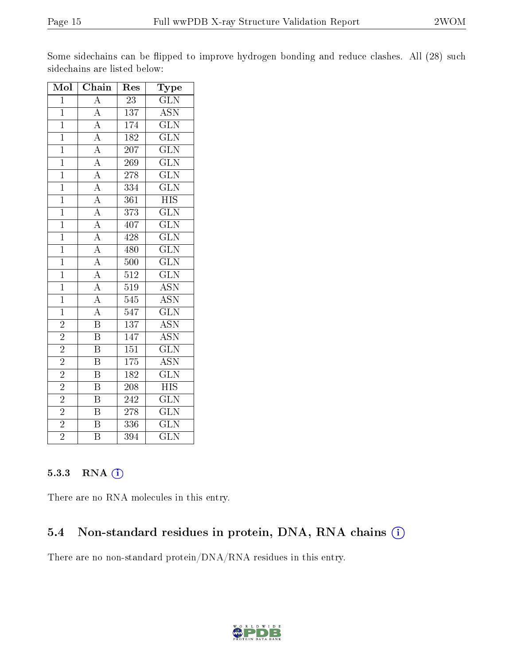| Mol            | Chain                                                                                                                                                                       | $\operatorname{Res}% \left( \mathcal{N}\right) \equiv\operatorname{Res}(\mathcal{N}_{0})\cap\mathcal{N}_{1}$ | Type                      |
|----------------|-----------------------------------------------------------------------------------------------------------------------------------------------------------------------------|--------------------------------------------------------------------------------------------------------------|---------------------------|
| $\overline{1}$ | $\boldsymbol{A}$                                                                                                                                                            | 23                                                                                                           | $\overline{\text{GLN}}$   |
| $\overline{1}$ | $\overline{A}$                                                                                                                                                              | $\overline{137}$                                                                                             | <b>ASN</b>                |
| $\overline{1}$ |                                                                                                                                                                             | 174                                                                                                          | $\overline{\text{GLN}}$   |
| $\mathbf{1}$   |                                                                                                                                                                             | 182                                                                                                          | $\overline{\text{GLN}}$   |
| $\mathbf{1}$   | $\frac{\overline{A}}{\overline{A}}$ $\frac{\overline{A}}{\overline{A}}$                                                                                                     | $\overline{207}$                                                                                             | $\overline{\text{GLN}}$   |
| $\overline{1}$ |                                                                                                                                                                             | 269                                                                                                          | $\overline{\text{GLN}}$   |
| $\overline{1}$ |                                                                                                                                                                             | $278\,$                                                                                                      | $\overline{\text{GLN}}$   |
| $\overline{1}$ | $\frac{\overline{A}}{\overline{A}} \frac{\overline{A}}{\overline{A}} \frac{\overline{A}}{\overline{A}} \frac{\overline{A}}{\overline{A}} \frac{\overline{A}}{\overline{A}}$ | 334                                                                                                          | $\overline{\text{GLN}}$   |
| $\overline{1}$ |                                                                                                                                                                             | $\overline{361}$                                                                                             | $\overline{\mathrm{HIS}}$ |
| $\overline{1}$ |                                                                                                                                                                             | $\overline{373}$                                                                                             | $\overline{\text{GLN}}$   |
| $\mathbf{1}$   |                                                                                                                                                                             | 407                                                                                                          | $\overline{\text{GLN}}$   |
| $\overline{1}$ |                                                                                                                                                                             | 428                                                                                                          | $\overline{\text{GLN}}$   |
| $\overline{1}$ |                                                                                                                                                                             | 480                                                                                                          | $\overline{\text{GLN}}$   |
| $\overline{1}$ |                                                                                                                                                                             | $\overline{500}$                                                                                             | $\overline{\text{GLN}}$   |
| $\overline{1}$ |                                                                                                                                                                             | $\overline{512}$                                                                                             | $\overline{\text{GLN}}$   |
| $\overline{1}$ |                                                                                                                                                                             | $\overline{519}$                                                                                             | $\overline{\text{ASN}}$   |
| $\mathbf{1}$   |                                                                                                                                                                             | 545                                                                                                          | $\overline{\text{ASN}}$   |
| $\overline{1}$ |                                                                                                                                                                             | 547                                                                                                          | $\overline{\text{GLN}}$   |
| $\overline{2}$ | $\overline{\mathbf{B}}$                                                                                                                                                     | $\overline{137}$                                                                                             | $\overline{\text{ASN}}$   |
| $\overline{2}$ | $\overline{\mathrm{B}}$                                                                                                                                                     | 147                                                                                                          | <b>ASN</b>                |
| $\overline{2}$ | $\overline{\mathrm{B}}$                                                                                                                                                     | $\overline{151}$                                                                                             | $\overline{\text{GLN}}$   |
| $\overline{2}$ | $\overline{\mathbf{B}}$                                                                                                                                                     | 175                                                                                                          | <b>ASN</b>                |
| $\overline{2}$ | $\overline{\mathrm{B}}$                                                                                                                                                     | 182                                                                                                          | $\overline{\text{GLN}}$   |
| $\overline{2}$ | $\overline{\mathrm{B}}$                                                                                                                                                     | 208                                                                                                          | $\overline{\mathrm{HIS}}$ |
| $\overline{2}$ | $\overline{\mathrm{B}}$                                                                                                                                                     | 242                                                                                                          | $\overline{\text{GLN}}$   |
| $\overline{2}$ | $\overline{\mathrm{B}}$                                                                                                                                                     | $\overline{278}$                                                                                             | $\overline{\text{GLN}}$   |
| $\overline{2}$ | $\overline{\mathrm{B}}$                                                                                                                                                     | 336                                                                                                          | $\overline{\text{GLN}}$   |
| $\overline{2}$ | $\overline{\mathrm{B}}$                                                                                                                                                     | 394                                                                                                          | $\overline{\text{GLN}}$   |

Some sidechains can be flipped to improve hydrogen bonding and reduce clashes. All (28) such sidechains are listed below:

#### 5.3.3 RNA (i)

There are no RNA molecules in this entry.

#### 5.4 Non-standard residues in protein, DNA, RNA chains  $(i)$

There are no non-standard protein/DNA/RNA residues in this entry.

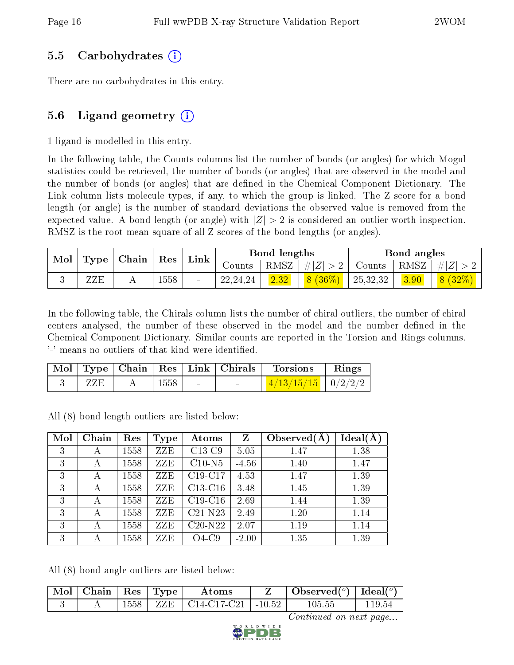### 5.5 Carbohydrates (i)

There are no carbohydrates in this entry.

## 5.6 Ligand geometry  $(i)$

1 ligand is modelled in this entry.

In the following table, the Counts columns list the number of bonds (or angles) for which Mogul statistics could be retrieved, the number of bonds (or angles) that are observed in the model and the number of bonds (or angles) that are defined in the Chemical Component Dictionary. The Link column lists molecule types, if any, to which the group is linked. The Z score for a bond length (or angle) is the number of standard deviations the observed value is removed from the expected value. A bond length (or angle) with  $|Z| > 2$  is considered an outlier worth inspection. RMSZ is the root-mean-square of all Z scores of the bond lengths (or angles).

| $\blacksquare$ Mol $\blacksquare$ | $\mid$ Type $\mid$ Chain $\mid$ Res $\mid$ |  |      |        |            |                       | $\mathop{\rm Link}\nolimits$ |          | Bond lengths                            |        |  | Bond angles |  |
|-----------------------------------|--------------------------------------------|--|------|--------|------------|-----------------------|------------------------------|----------|-----------------------------------------|--------|--|-------------|--|
|                                   |                                            |  |      | Counts |            | $ RMSZ  \#  Z  > 2  $ |                              |          | $\perp$ Counts   RMSZ $\mid \#  Z  > 2$ |        |  |             |  |
|                                   | ZZE                                        |  | 1558 |        | 22, 24, 24 |                       | $8(36\%)$                    | 25,32,32 | 3.90                                    | 8(32%) |  |             |  |

In the following table, the Chirals column lists the number of chiral outliers, the number of chiral centers analysed, the number of these observed in the model and the number defined in the Chemical Component Dictionary. Similar counts are reported in the Torsion and Rings columns. '-' means no outliers of that kind were identified.

|     |      |                                   | Mol   Type   Chain   Res   Link   Chirals   Torsions   Rings |  |
|-----|------|-----------------------------------|--------------------------------------------------------------|--|
| ZZE | 1558 | <b>Contract Contract Contract</b> | $\mid$ 4/13/15/15 $\mid$ 0/2/2/2 $\mid$                      |  |

All (8) bond length outliers are listed below:

| Mol | Chain | Res  | Type | Atoms     | Z       | Observed $(A$ | $Ideal(\AA)$ |
|-----|-------|------|------|-----------|---------|---------------|--------------|
| 3   | А     | 1558 | ZZE  | $C13-C9$  | 5.05    | 1.47          | 1.38         |
| 3   | А     | 1558 | ZZE  | $C10-N5$  | $-4.56$ | 1.40          | 1.47         |
| 3   | А     | 1558 | ZZE  | $C19-C17$ | 4.53    | 1.47          | 1.39         |
| 3   | А     | 1558 | ZZE  | $C13-C16$ | 3.48    | 1.45          | 1.39         |
| 3   | А     | 1558 | ZZE  | $C19-C16$ | 2.69    | 1.44          | 1.39         |
| 3   | А     | 1558 | ZZE  | $C21-N23$ | 2.49    | 1.20          | 1.14         |
| 3   | А     | 1558 | ZZE  | $C20-N22$ | 2.07    | 1.19          | 1.14         |
| 3   | А     | 1558 | ZZE  | $O4-C9$   | $-2.00$ | 1.35          | 1.39         |

All (8) bond angle outliers are listed below:

| $\vert$ Mol $\vert$ Chain $\vert$ Res $\vert$ Type $\vert$ |      |                            | Atoms                            | Observed( $^o$ )   Ideal( $^o$ ) |        |
|------------------------------------------------------------|------|----------------------------|----------------------------------|----------------------------------|--------|
|                                                            | 1558 | $\rm \sim +~ZZE^{-+}~^{-}$ | $\mid$ C14-C17-C21 $\mid$ -10.52 | $105.55\,$                       | 119.54 |

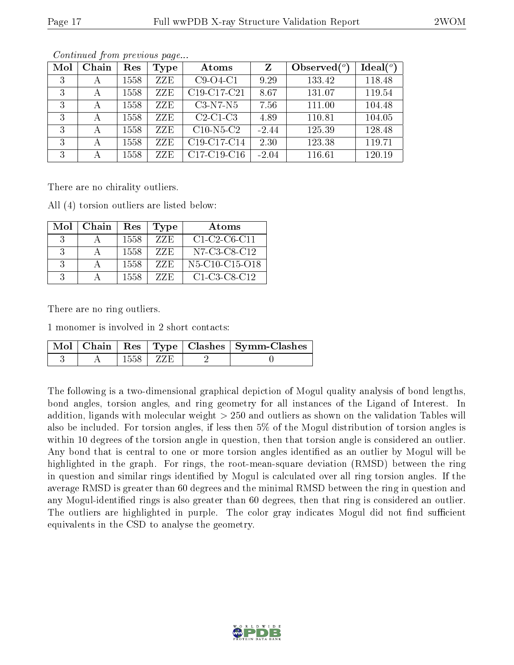| Mol | Chain | Res  | <b>Type</b> | Atoms                                             | $\mathbf{Z}$ | Observed $(°)$ | Ideal(°) |
|-----|-------|------|-------------|---------------------------------------------------|--------------|----------------|----------|
| 3   | А     | 1558 | ZZE         | $C9-O4-C1$                                        | 9.29         | 133.42         | 118.48   |
| 3   | А     | 1558 | ZZE         | C19-C17-C21                                       | 8.67         | 131.07         | 119.54   |
| 3   | А     | 1558 | ZZE         | $C3-N7-N5$                                        | 7.56         | 111.00         | 104.48   |
| 3   | А     | 1558 | ZZE         | $C2-C1-C3$                                        | 4.89         | 110.81         | 104.05   |
| 3   |       | 1558 | ZZE         | $C10-N5-C2$                                       | $-2.44$      | 125.39         | 128.48   |
| 3   | А     | 1558 | ZZE         | C19-C17-C14                                       | 2.30         | 123.38         | 119.71   |
| 3   | А     | 1558 | ZZE         | C <sub>17</sub> -C <sub>19</sub> -C <sub>16</sub> | $-2.04$      | 116.61         | 120.19   |

There are no chirality outliers.

All (4) torsion outliers are listed below:

| Mol           | Chain | Res   | <b>Type</b> | Atoms                                                             |
|---------------|-------|-------|-------------|-------------------------------------------------------------------|
| 3             |       | 1558  | 77E         | $C1-C2-C6-C11$                                                    |
| 3             |       | 1558  | ZZE         | N7-C3-C8-C12                                                      |
| 3             |       | 1558  | 77E         | N <sub>5</sub> -C <sub>10</sub> -C <sub>15</sub> -O <sub>18</sub> |
| $\mathcal{R}$ |       | 1558. | 77E         | $C1-C3-C8-C12$                                                    |

There are no ring outliers.

1 monomer is involved in 2 short contacts:

|  |      |       | Mol   Chain   Res   Type   Clashes   Symm-Clashes |
|--|------|-------|---------------------------------------------------|
|  | 1558 | ∣ ZZE |                                                   |

The following is a two-dimensional graphical depiction of Mogul quality analysis of bond lengths, bond angles, torsion angles, and ring geometry for all instances of the Ligand of Interest. In addition, ligands with molecular weight > 250 and outliers as shown on the validation Tables will also be included. For torsion angles, if less then 5% of the Mogul distribution of torsion angles is within 10 degrees of the torsion angle in question, then that torsion angle is considered an outlier. Any bond that is central to one or more torsion angles identified as an outlier by Mogul will be highlighted in the graph. For rings, the root-mean-square deviation (RMSD) between the ring in question and similar rings identified by Mogul is calculated over all ring torsion angles. If the average RMSD is greater than 60 degrees and the minimal RMSD between the ring in question and any Mogul-identified rings is also greater than 60 degrees, then that ring is considered an outlier. The outliers are highlighted in purple. The color gray indicates Mogul did not find sufficient equivalents in the CSD to analyse the geometry.

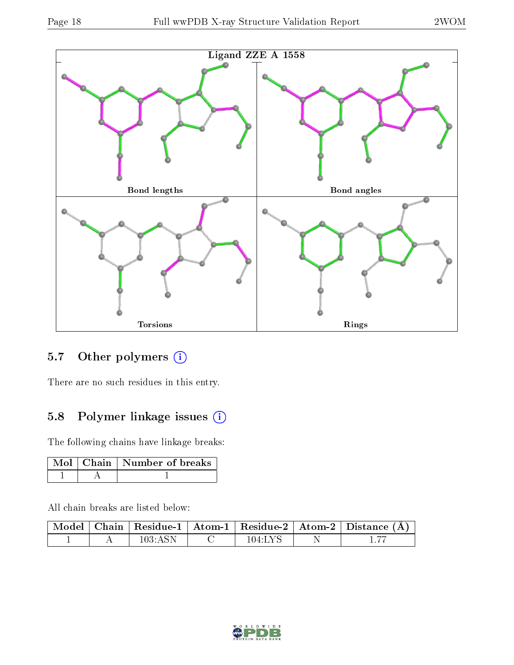

## 5.7 [O](https://www.wwpdb.org/validation/2017/XrayValidationReportHelp#nonstandard_residues_and_ligands)ther polymers (i)

There are no such residues in this entry.

## 5.8 Polymer linkage issues (i)

The following chains have linkage breaks:

|  | Mol   Chain   Number of breaks |
|--|--------------------------------|
|  |                                |

All chain breaks are listed below:

|  |                 |           | $\mid$ Model $\mid$ Chain $\mid$ Residue-1 $\mid$ Atom-1 $\mid$ Residue-2 $\mid$ Atom-2 $\mid$ Distance (Å) |
|--|-----------------|-----------|-------------------------------------------------------------------------------------------------------------|
|  | $103 \cdot ASN$ | $104$ LYS |                                                                                                             |

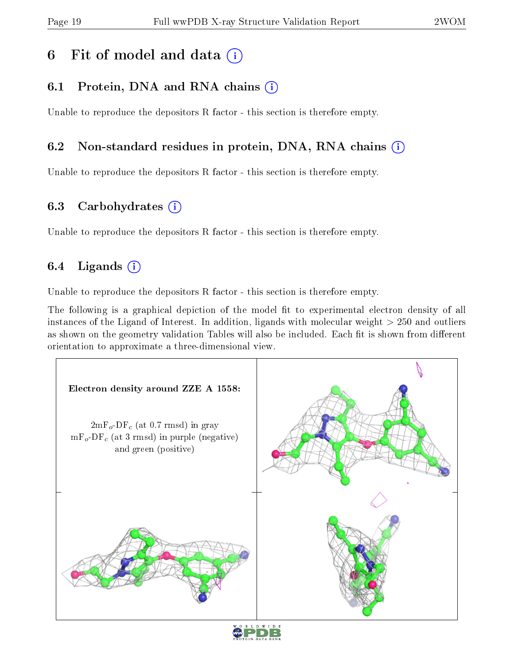# 6 Fit of model and data  $(i)$

# 6.1 Protein, DNA and RNA chains  $(i)$

Unable to reproduce the depositors R factor - this section is therefore empty.

## 6.2 Non-standard residues in protein, DNA, RNA chains (i)

Unable to reproduce the depositors R factor - this section is therefore empty.

### 6.3 Carbohydrates (i)

Unable to reproduce the depositors R factor - this section is therefore empty.

## 6.4 Ligands  $(i)$

Unable to reproduce the depositors R factor - this section is therefore empty.

The following is a graphical depiction of the model fit to experimental electron density of all instances of the Ligand of Interest. In addition, ligands with molecular weight > 250 and outliers as shown on the geometry validation Tables will also be included. Each fit is shown from different orientation to approximate a three-dimensional view.